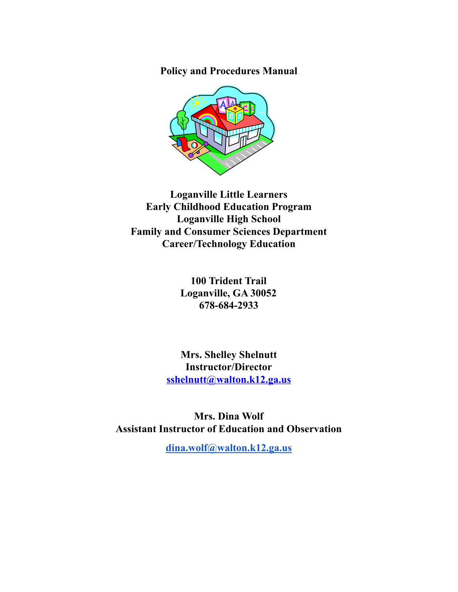**Policy and Procedures Manual**



**Loganville Little Learners Early Childhood Education Program Loganville High School Family and Consumer Sciences Department Career/Technology Education**

> **100 Trident Trail Loganville, GA 30052 678-684-2933**

**Mrs. Shelley Shelnutt Instructor/Director [sshelnutt@walton.k12.ga.us](mailto:sshelnutt@walton.k12.ga.us)**

**Mrs. Dina Wolf Assistant Instructor of Education and Observation**

**[dina.wolf@walton.k12.ga.us](mailto:dina.wolf@walton.k12.ga.us)**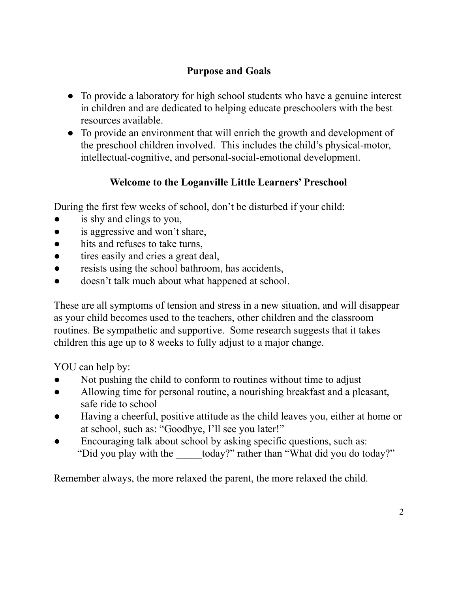# **Purpose and Goals**

- To provide a laboratory for high school students who have a genuine interest in children and are dedicated to helping educate preschoolers with the best resources available.
- To provide an environment that will enrich the growth and development of the preschool children involved. This includes the child's physical-motor, intellectual-cognitive, and personal-social-emotional development.

# **Welcome to the Loganville Little Learners' Preschool**

During the first few weeks of school, don't be disturbed if your child:

- is shy and clings to you,
- is aggressive and won't share,
- hits and refuses to take turns,
- tires easily and cries a great deal,
- resists using the school bathroom, has accidents,
- doesn't talk much about what happened at school.

These are all symptoms of tension and stress in a new situation, and will disappear as your child becomes used to the teachers, other children and the classroom routines. Be sympathetic and supportive. Some research suggests that it takes children this age up to 8 weeks to fully adjust to a major change.

YOU can help by:

- Not pushing the child to conform to routines without time to adjust
- Allowing time for personal routine, a nourishing breakfast and a pleasant, safe ride to school
- Having a cheerful, positive attitude as the child leaves you, either at home or at school, such as: "Goodbye, I'll see you later!"
- Encouraging talk about school by asking specific questions, such as: "Did you play with the today?" rather than "What did you do today?"

Remember always, the more relaxed the parent, the more relaxed the child.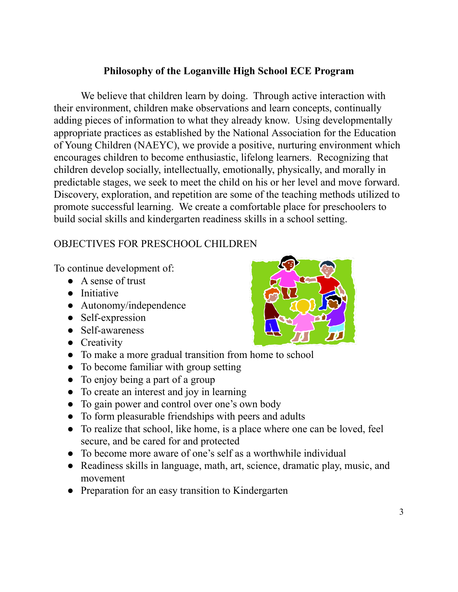## **Philosophy of the Loganville High School ECE Program**

We believe that children learn by doing. Through active interaction with their environment, children make observations and learn concepts, continually adding pieces of information to what they already know. Using developmentally appropriate practices as established by the National Association for the Education of Young Children (NAEYC), we provide a positive, nurturing environment which encourages children to become enthusiastic, lifelong learners. Recognizing that children develop socially, intellectually, emotionally, physically, and morally in predictable stages, we seek to meet the child on his or her level and move forward. Discovery, exploration, and repetition are some of the teaching methods utilized to promote successful learning. We create a comfortable place for preschoolers to build social skills and kindergarten readiness skills in a school setting.

## OBJECTIVES FOR PRESCHOOL CHILDREN

To continue development of:

- A sense of trust
- Initiative
- Autonomy/independence
- Self-expression
- Self-awareness
- Creativity
- To make a more gradual transition from home to school
- To become familiar with group setting
- To enjoy being a part of a group
- To create an interest and joy in learning
- To gain power and control over one's own body
- To form pleasurable friendships with peers and adults
- To realize that school, like home, is a place where one can be loved, feel secure, and be cared for and protected
- To become more aware of one's self as a worthwhile individual
- Readiness skills in language, math, art, science, dramatic play, music, and movement
- Preparation for an easy transition to Kindergarten

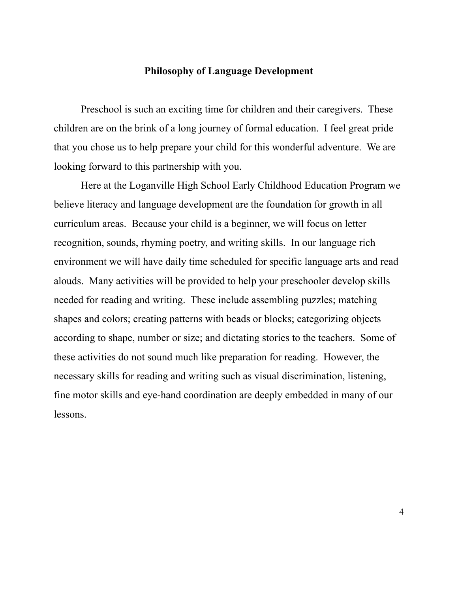### **Philosophy of Language Development**

Preschool is such an exciting time for children and their caregivers. These children are on the brink of a long journey of formal education. I feel great pride that you chose us to help prepare your child for this wonderful adventure. We are looking forward to this partnership with you.

Here at the Loganville High School Early Childhood Education Program we believe literacy and language development are the foundation for growth in all curriculum areas. Because your child is a beginner, we will focus on letter recognition, sounds, rhyming poetry, and writing skills. In our language rich environment we will have daily time scheduled for specific language arts and read alouds. Many activities will be provided to help your preschooler develop skills needed for reading and writing. These include assembling puzzles; matching shapes and colors; creating patterns with beads or blocks; categorizing objects according to shape, number or size; and dictating stories to the teachers. Some of these activities do not sound much like preparation for reading. However, the necessary skills for reading and writing such as visual discrimination, listening, fine motor skills and eye-hand coordination are deeply embedded in many of our lessons.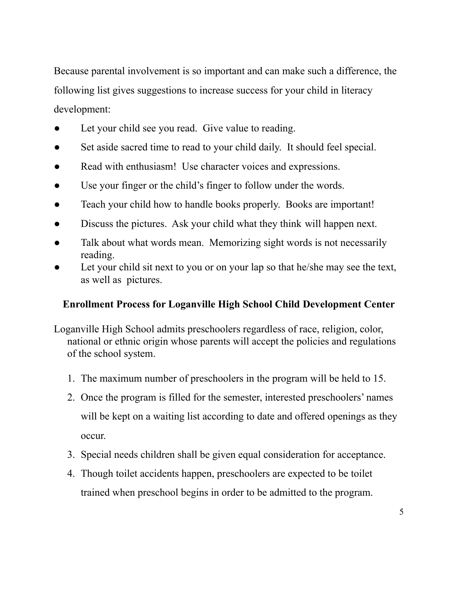Because parental involvement is so important and can make such a difference, the following list gives suggestions to increase success for your child in literacy development:

- Let your child see you read. Give value to reading.
- Set aside sacred time to read to your child daily. It should feel special.
- Read with enthusiasm! Use character voices and expressions.
- Use your finger or the child's finger to follow under the words.
- Teach your child how to handle books properly. Books are important!
- Discuss the pictures. Ask your child what they think will happen next.
- Talk about what words mean. Memorizing sight words is not necessarily reading.
- Let your child sit next to you or on your lap so that he/she may see the text, as well as pictures.

## **Enrollment Process for Loganville High School Child Development Center**

- Loganville High School admits preschoolers regardless of race, religion, color, national or ethnic origin whose parents will accept the policies and regulations of the school system.
	- 1. The maximum number of preschoolers in the program will be held to 15.
	- 2. Once the program is filled for the semester, interested preschoolers' names will be kept on a waiting list according to date and offered openings as they occur.
	- 3. Special needs children shall be given equal consideration for acceptance.
	- 4. Though toilet accidents happen, preschoolers are expected to be toilet trained when preschool begins in order to be admitted to the program.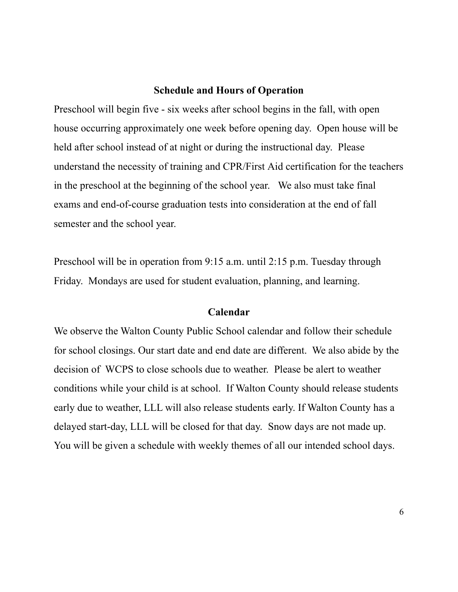#### **Schedule and Hours of Operation**

Preschool will begin five - six weeks after school begins in the fall, with open house occurring approximately one week before opening day. Open house will be held after school instead of at night or during the instructional day. Please understand the necessity of training and CPR/First Aid certification for the teachers in the preschool at the beginning of the school year. We also must take final exams and end-of-course graduation tests into consideration at the end of fall semester and the school year.

Preschool will be in operation from 9:15 a.m. until 2:15 p.m. Tuesday through Friday. Mondays are used for student evaluation, planning, and learning.

#### **Calendar**

We observe the Walton County Public School calendar and follow their schedule for school closings. Our start date and end date are different. We also abide by the decision of WCPS to close schools due to weather. Please be alert to weather conditions while your child is at school. If Walton County should release students early due to weather, LLL will also release students early. If Walton County has a delayed start-day, LLL will be closed for that day. Snow days are not made up. You will be given a schedule with weekly themes of all our intended school days.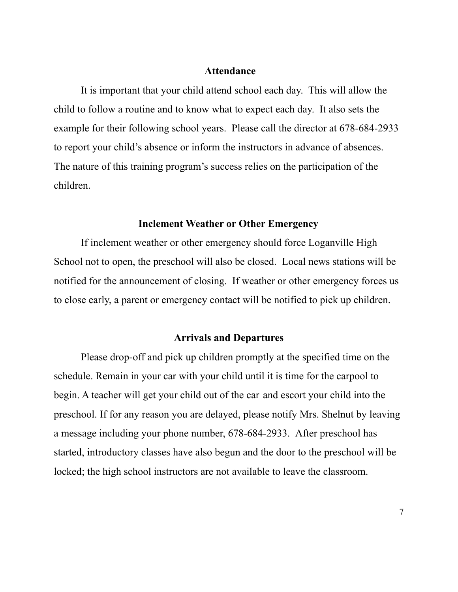#### **Attendance**

It is important that your child attend school each day. This will allow the child to follow a routine and to know what to expect each day. It also sets the example for their following school years. Please call the director at 678-684-2933 to report your child's absence or inform the instructors in advance of absences. The nature of this training program's success relies on the participation of the children.

#### **Inclement Weather or Other Emergency**

If inclement weather or other emergency should force Loganville High School not to open, the preschool will also be closed. Local news stations will be notified for the announcement of closing. If weather or other emergency forces us to close early, a parent or emergency contact will be notified to pick up children.

### **Arrivals and Departures**

Please drop-off and pick up children promptly at the specified time on the schedule. Remain in your car with your child until it is time for the carpool to begin. A teacher will get your child out of the car and escort your child into the preschool. If for any reason you are delayed, please notify Mrs. Shelnut by leaving a message including your phone number, 678-684-2933. After preschool has started, introductory classes have also begun and the door to the preschool will be locked; the high school instructors are not available to leave the classroom.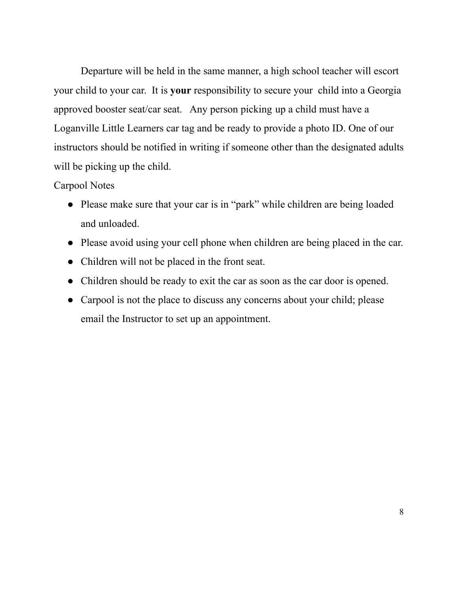Departure will be held in the same manner, a high school teacher will escort your child to your car. It is **your** responsibility to secure your child into a Georgia approved booster seat/car seat. Any person picking up a child must have a Loganville Little Learners car tag and be ready to provide a photo ID. One of our instructors should be notified in writing if someone other than the designated adults will be picking up the child.

### Carpool Notes

- Please make sure that your car is in "park" while children are being loaded and unloaded.
- Please avoid using your cell phone when children are being placed in the car.
- Children will not be placed in the front seat.
- Children should be ready to exit the car as soon as the car door is opened.
- Carpool is not the place to discuss any concerns about your child; please email the Instructor to set up an appointment.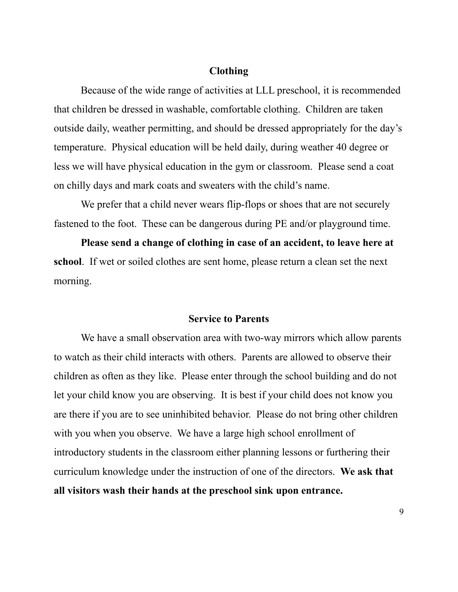### **Clothing**

Because of the wide range of activities at LLL preschool, it is recommended that children be dressed in washable, comfortable clothing. Children are taken outside daily, weather permitting, and should be dressed appropriately for the day's temperature. Physical education will be held daily, during weather 40 degree or less we will have physical education in the gym or classroom. Please send a coat on chilly days and mark coats and sweaters with the child's name.

We prefer that a child never wears flip-flops or shoes that are not securely fastened to the foot. These can be dangerous during PE and/or playground time.

**Please send a change of clothing in case of an accident, to leave here at school**. If wet or soiled clothes are sent home, please return a clean set the next morning.

#### **Service to Parents**

We have a small observation area with two-way mirrors which allow parents to watch as their child interacts with others. Parents are allowed to observe their children as often as they like. Please enter through the school building and do not let your child know you are observing. It is best if your child does not know you are there if you are to see uninhibited behavior. Please do not bring other children with you when you observe. We have a large high school enrollment of introductory students in the classroom either planning lessons or furthering their curriculum knowledge under the instruction of one of the directors. **We ask that all visitors wash their hands at the preschool sink upon entrance.**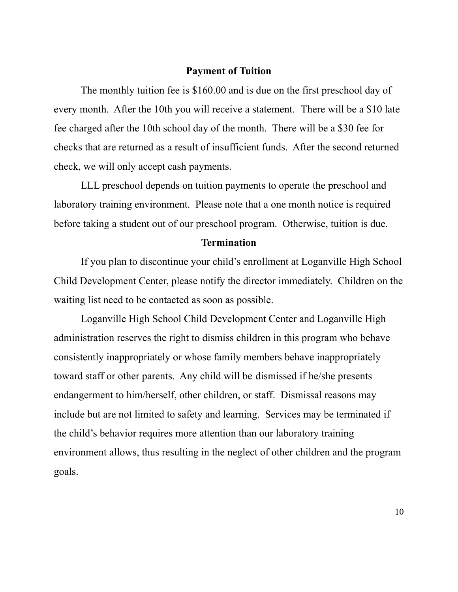#### **Payment of Tuition**

The monthly tuition fee is \$160.00 and is due on the first preschool day of every month. After the 10th you will receive a statement. There will be a \$10 late fee charged after the 10th school day of the month. There will be a \$30 fee for checks that are returned as a result of insufficient funds. After the second returned check, we will only accept cash payments.

LLL preschool depends on tuition payments to operate the preschool and laboratory training environment. Please note that a one month notice is required before taking a student out of our preschool program. Otherwise, tuition is due.

#### **Termination**

If you plan to discontinue your child's enrollment at Loganville High School Child Development Center, please notify the director immediately. Children on the waiting list need to be contacted as soon as possible.

Loganville High School Child Development Center and Loganville High administration reserves the right to dismiss children in this program who behave consistently inappropriately or whose family members behave inappropriately toward staff or other parents. Any child will be dismissed if he/she presents endangerment to him/herself, other children, or staff. Dismissal reasons may include but are not limited to safety and learning. Services may be terminated if the child's behavior requires more attention than our laboratory training environment allows, thus resulting in the neglect of other children and the program goals.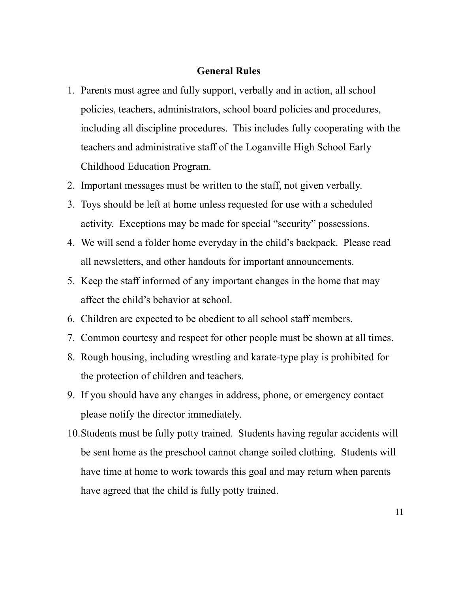### **General Rules**

- 1. Parents must agree and fully support, verbally and in action, all school policies, teachers, administrators, school board policies and procedures, including all discipline procedures. This includes fully cooperating with the teachers and administrative staff of the Loganville High School Early Childhood Education Program.
- 2. Important messages must be written to the staff, not given verbally.
- 3. Toys should be left at home unless requested for use with a scheduled activity. Exceptions may be made for special "security" possessions.
- 4. We will send a folder home everyday in the child's backpack. Please read all newsletters, and other handouts for important announcements.
- 5. Keep the staff informed of any important changes in the home that may affect the child's behavior at school.
- 6. Children are expected to be obedient to all school staff members.
- 7. Common courtesy and respect for other people must be shown at all times.
- 8. Rough housing, including wrestling and karate-type play is prohibited for the protection of children and teachers.
- 9. If you should have any changes in address, phone, or emergency contact please notify the director immediately.
- 10.Students must be fully potty trained. Students having regular accidents will be sent home as the preschool cannot change soiled clothing. Students will have time at home to work towards this goal and may return when parents have agreed that the child is fully potty trained.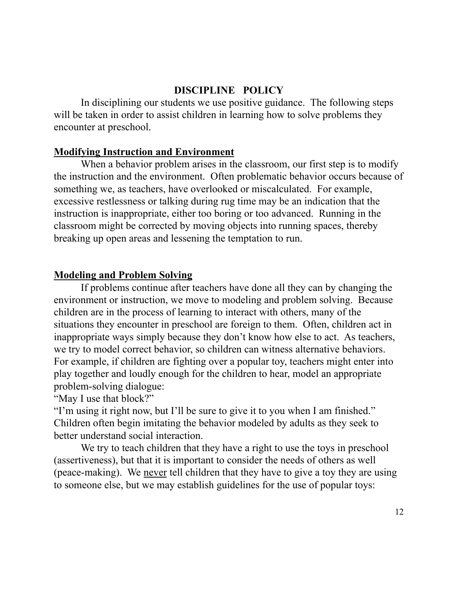## **DISCIPLINE POLICY**

In disciplining our students we use positive guidance. The following steps will be taken in order to assist children in learning how to solve problems they encounter at preschool.

### **Modifying Instruction and Environment**

When a behavior problem arises in the classroom, our first step is to modify the instruction and the environment. Often problematic behavior occurs because of something we, as teachers, have overlooked or miscalculated. For example, excessive restlessness or talking during rug time may be an indication that the instruction is inappropriate, either too boring or too advanced. Running in the classroom might be corrected by moving objects into running spaces, thereby breaking up open areas and lessening the temptation to run.

### **Modeling and Problem Solving**

If problems continue after teachers have done all they can by changing the environment or instruction, we move to modeling and problem solving. Because children are in the process of learning to interact with others, many of the situations they encounter in preschool are foreign to them. Often, children act in inappropriate ways simply because they don't know how else to act. As teachers, we try to model correct behavior, so children can witness alternative behaviors. For example, if children are fighting over a popular toy, teachers might enter into play together and loudly enough for the children to hear, model an appropriate problem-solving dialogue:

"May I use that block?"

"I'm using it right now, but I'll be sure to give it to you when I am finished." Children often begin imitating the behavior modeled by adults as they seek to better understand social interaction.

We try to teach children that they have a right to use the toys in preschool (assertiveness), but that it is important to consider the needs of others as well (peace-making). We never tell children that they have to give a toy they are using to someone else, but we may establish guidelines for the use of popular toys: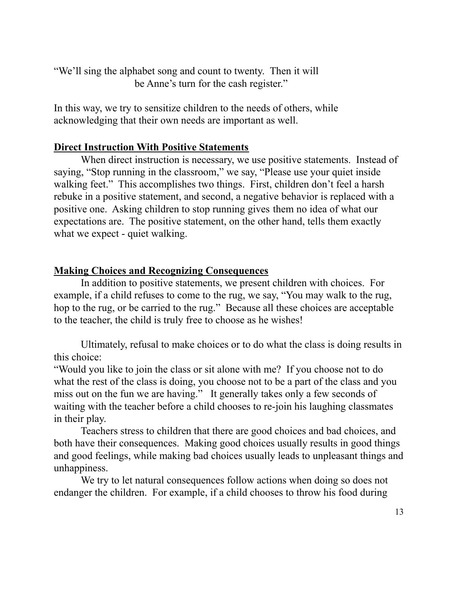"We'll sing the alphabet song and count to twenty. Then it will be Anne's turn for the cash register."

In this way, we try to sensitize children to the needs of others, while acknowledging that their own needs are important as well.

### **Direct Instruction With Positive Statements**

When direct instruction is necessary, we use positive statements. Instead of saying, "Stop running in the classroom," we say, "Please use your quiet inside walking feet." This accomplishes two things. First, children don't feel a harsh rebuke in a positive statement, and second, a negative behavior is replaced with a positive one. Asking children to stop running gives them no idea of what our expectations are. The positive statement, on the other hand, tells them exactly what we expect - quiet walking.

### **Making Choices and Recognizing Consequences**

In addition to positive statements, we present children with choices. For example, if a child refuses to come to the rug, we say, "You may walk to the rug, hop to the rug, or be carried to the rug." Because all these choices are acceptable to the teacher, the child is truly free to choose as he wishes!

Ultimately, refusal to make choices or to do what the class is doing results in this choice:

"Would you like to join the class or sit alone with me? If you choose not to do what the rest of the class is doing, you choose not to be a part of the class and you miss out on the fun we are having." It generally takes only a few seconds of waiting with the teacher before a child chooses to re-join his laughing classmates in their play.

Teachers stress to children that there are good choices and bad choices, and both have their consequences. Making good choices usually results in good things and good feelings, while making bad choices usually leads to unpleasant things and unhappiness.

We try to let natural consequences follow actions when doing so does not endanger the children. For example, if a child chooses to throw his food during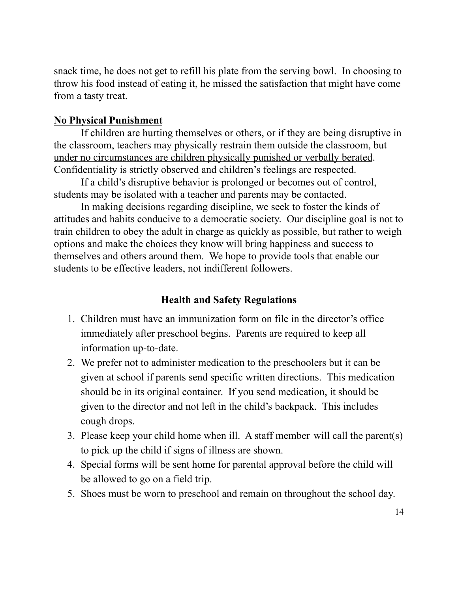snack time, he does not get to refill his plate from the serving bowl. In choosing to throw his food instead of eating it, he missed the satisfaction that might have come from a tasty treat.

### **No Physical Punishment**

If children are hurting themselves or others, or if they are being disruptive in the classroom, teachers may physically restrain them outside the classroom, but under no circumstances are children physically punished or verbally berated. Confidentiality is strictly observed and children's feelings are respected.

If a child's disruptive behavior is prolonged or becomes out of control, students may be isolated with a teacher and parents may be contacted.

In making decisions regarding discipline, we seek to foster the kinds of attitudes and habits conducive to a democratic society. Our discipline goal is not to train children to obey the adult in charge as quickly as possible, but rather to weigh options and make the choices they know will bring happiness and success to themselves and others around them. We hope to provide tools that enable our students to be effective leaders, not indifferent followers.

### **Health and Safety Regulations**

- 1. Children must have an immunization form on file in the director's office immediately after preschool begins. Parents are required to keep all information up-to-date.
- 2. We prefer not to administer medication to the preschoolers but it can be given at school if parents send specific written directions. This medication should be in its original container. If you send medication, it should be given to the director and not left in the child's backpack. This includes cough drops.
- 3. Please keep your child home when ill. A staff member will call the parent(s) to pick up the child if signs of illness are shown.
- 4. Special forms will be sent home for parental approval before the child will be allowed to go on a field trip.
- 5. Shoes must be worn to preschool and remain on throughout the school day.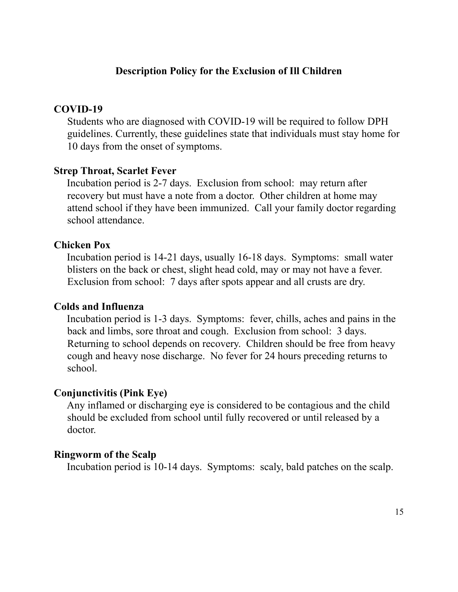## **Description Policy for the Exclusion of Ill Children**

#### **COVID-19**

Students who are diagnosed with COVID-19 will be required to follow DPH guidelines. Currently, these guidelines state that individuals must stay home for 10 days from the onset of symptoms.

#### **Strep Throat, Scarlet Fever**

Incubation period is 2-7 days. Exclusion from school: may return after recovery but must have a note from a doctor. Other children at home may attend school if they have been immunized. Call your family doctor regarding school attendance.

#### **Chicken Pox**

Incubation period is 14-21 days, usually 16-18 days. Symptoms: small water blisters on the back or chest, slight head cold, may or may not have a fever. Exclusion from school: 7 days after spots appear and all crusts are dry.

#### **Colds and Influenza**

Incubation period is 1-3 days. Symptoms: fever, chills, aches and pains in the back and limbs, sore throat and cough. Exclusion from school: 3 days. Returning to school depends on recovery. Children should be free from heavy cough and heavy nose discharge. No fever for 24 hours preceding returns to school.

#### **Conjunctivitis (Pink Eye)**

Any inflamed or discharging eye is considered to be contagious and the child should be excluded from school until fully recovered or until released by a doctor.

#### **Ringworm of the Scalp**

Incubation period is 10-14 days. Symptoms: scaly, bald patches on the scalp.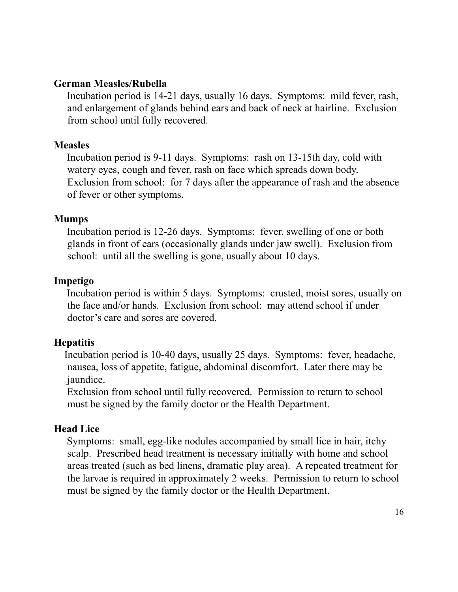### **German Measles/Rubella**

Incubation period is 14-21 days, usually 16 days. Symptoms: mild fever, rash, and enlargement of glands behind ears and back of neck at hairline. Exclusion from school until fully recovered.

### **Measles**

Incubation period is 9-11 days. Symptoms: rash on 13-15th day, cold with watery eyes, cough and fever, rash on face which spreads down body. Exclusion from school: for 7 days after the appearance of rash and the absence of fever or other symptoms.

### **Mumps**

Incubation period is 12-26 days. Symptoms: fever, swelling of one or both glands in front of ears (occasionally glands under jaw swell). Exclusion from school: until all the swelling is gone, usually about 10 days.

## **Impetigo**

Incubation period is within 5 days. Symptoms: crusted, moist sores, usually on the face and/or hands. Exclusion from school: may attend school if under doctor's care and sores are covered.

## **Hepatitis**

Incubation period is 10-40 days, usually 25 days. Symptoms: fever, headache, nausea, loss of appetite, fatigue, abdominal discomfort. Later there may be jaundice.

Exclusion from school until fully recovered. Permission to return to school must be signed by the family doctor or the Health Department.

## **Head Lice**

Symptoms: small, egg-like nodules accompanied by small lice in hair, itchy scalp. Prescribed head treatment is necessary initially with home and school areas treated (such as bed linens, dramatic play area). A repeated treatment for the larvae is required in approximately 2 weeks. Permission to return to school must be signed by the family doctor or the Health Department.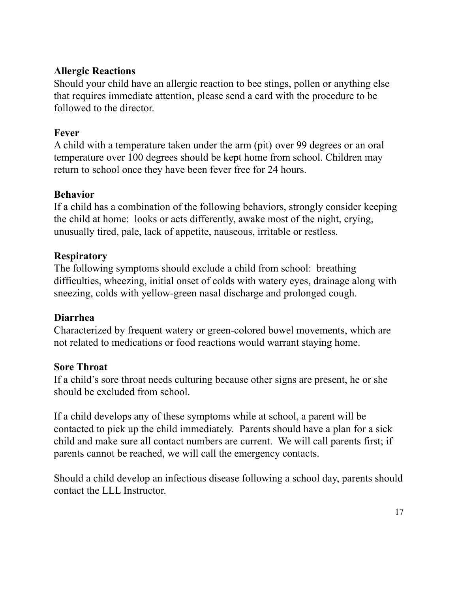## **Allergic Reactions**

Should your child have an allergic reaction to bee stings, pollen or anything else that requires immediate attention, please send a card with the procedure to be followed to the director.

## **Fever**

A child with a temperature taken under the arm (pit) over 99 degrees or an oral temperature over 100 degrees should be kept home from school. Children may return to school once they have been fever free for 24 hours.

## **Behavior**

If a child has a combination of the following behaviors, strongly consider keeping the child at home: looks or acts differently, awake most of the night, crying, unusually tired, pale, lack of appetite, nauseous, irritable or restless.

## **Respiratory**

The following symptoms should exclude a child from school: breathing difficulties, wheezing, initial onset of colds with watery eyes, drainage along with sneezing, colds with yellow-green nasal discharge and prolonged cough.

## **Diarrhea**

Characterized by frequent watery or green-colored bowel movements, which are not related to medications or food reactions would warrant staying home.

## **Sore Throat**

If a child's sore throat needs culturing because other signs are present, he or she should be excluded from school.

If a child develops any of these symptoms while at school, a parent will be contacted to pick up the child immediately. Parents should have a plan for a sick child and make sure all contact numbers are current. We will call parents first; if parents cannot be reached, we will call the emergency contacts.

Should a child develop an infectious disease following a school day, parents should contact the LLL Instructor.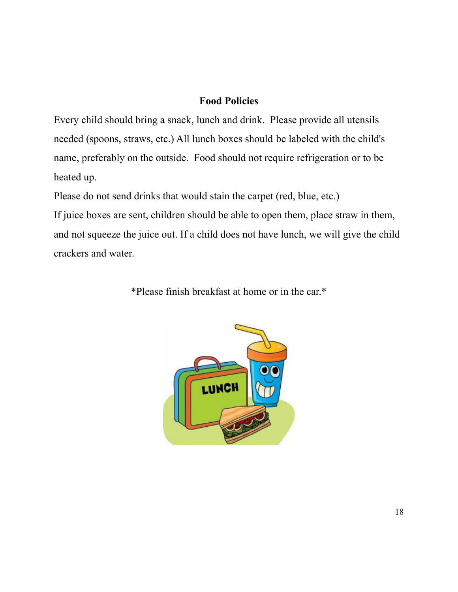## **Food Policies**

Every child should bring a snack, lunch and drink. Please provide all utensils needed (spoons, straws, etc.) All lunch boxes should be labeled with the child's name, preferably on the outside. Food should not require refrigeration or to be heated up.

Please do not send drinks that would stain the carpet (red, blue, etc.)

If juice boxes are sent, children should be able to open them, place straw in them, and not squeeze the juice out. If a child does not have lunch, we will give the child crackers and water.

\*Please finish breakfast at home or in the car.\*

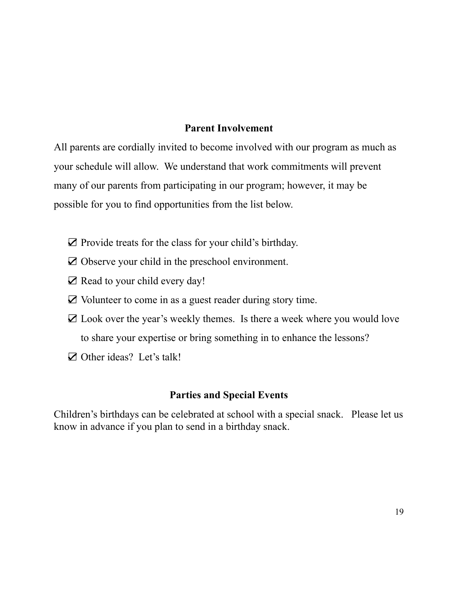### **Parent Involvement**

All parents are cordially invited to become involved with our program as much as your schedule will allow. We understand that work commitments will prevent many of our parents from participating in our program; however, it may be possible for you to find opportunities from the list below.

- ☑ Provide treats for the class for your child's birthday.
- ☑ Observe your child in the preschool environment.
- ☑ Read to your child every day!
- ☑ Volunteer to come in as a guest reader during story time.
- ☑ Look over the year's weekly themes. Is there a week where you would love to share your expertise or bring something in to enhance the lessons?
- ☑ Other ideas? Let's talk!

## **Parties and Special Events**

Children's birthdays can be celebrated at school with a special snack. Please let us know in advance if you plan to send in a birthday snack.